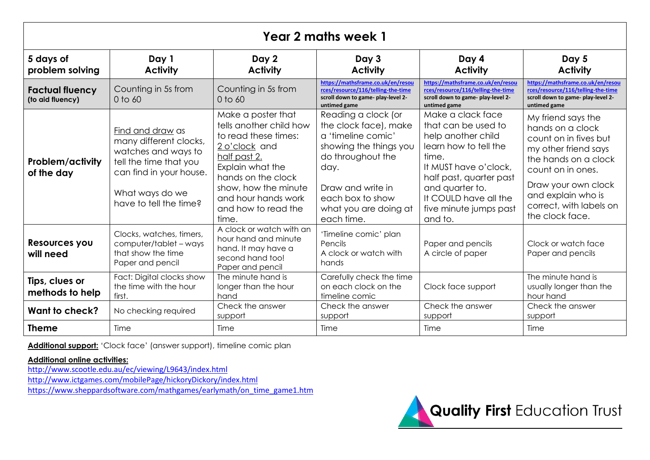| Year 2 maths week 1                        |                                                                                                                                                                     |                                                                                                                                                                                                                                 |                                                                                                                                                                                                           |                                                                                                                                                                                                                                       |                                                                                                                                                                                                                                 |
|--------------------------------------------|---------------------------------------------------------------------------------------------------------------------------------------------------------------------|---------------------------------------------------------------------------------------------------------------------------------------------------------------------------------------------------------------------------------|-----------------------------------------------------------------------------------------------------------------------------------------------------------------------------------------------------------|---------------------------------------------------------------------------------------------------------------------------------------------------------------------------------------------------------------------------------------|---------------------------------------------------------------------------------------------------------------------------------------------------------------------------------------------------------------------------------|
| 5 days of<br>problem solving               | Day 1<br><b>Activity</b>                                                                                                                                            | Day 2<br><b>Activity</b>                                                                                                                                                                                                        | Day 3<br><b>Activity</b>                                                                                                                                                                                  | Day 4<br><b>Activity</b>                                                                                                                                                                                                              | Day 5<br><b>Activity</b>                                                                                                                                                                                                        |
| <b>Factual fluency</b><br>(to aid fluency) | Counting in 5s from<br>$0$ to $60$                                                                                                                                  | Counting in 5s from<br>$0$ to $60$                                                                                                                                                                                              | https://mathsframe.co.uk/en/resou<br>rces/resource/116/telling-the-time<br>scroll down to game- play-level 2-<br>untimed game                                                                             | https://mathsframe.co.uk/en/resou<br>rces/resource/116/telling-the-time<br>scroll down to game- play-level 2-<br>untimed game                                                                                                         | https://mathsframe.co.uk/en/resou<br>rces/resource/116/telling-the-time<br>scroll down to game- play-level 2-<br>untimed game                                                                                                   |
| <b>Problem/activity</b><br>of the day      | Find and draw as<br>many different clocks,<br>watches and ways to<br>tell the time that you<br>can find in your house.<br>What ways do we<br>have to tell the time? | Make a poster that<br>tells another child how<br>to read these times:<br>2 o'clock and<br>half past 2.<br>Explain what the<br>hands on the clock<br>show, how the minute<br>and hour hands work<br>and how to read the<br>time. | Reading a clock (or<br>the clock face), make<br>a 'timeline comic'<br>showing the things you<br>do throughout the<br>day.<br>Draw and write in<br>each box to show<br>what you are doing at<br>each time. | Make a clack face<br>that can be used to<br>help another child<br>learn how to tell the<br>time.<br>It MUST have o'clock,<br>half past, quarter past<br>and quarter to.<br>It COULD have all the<br>five minute jumps past<br>and to. | My friend says the<br>hands on a clock<br>count on in fives but<br>my other friend says<br>the hands on a clock<br>count on in ones.<br>Draw your own clock<br>and explain who is<br>correct, with labels on<br>the clock face. |
| Resources you<br>will need                 | Clocks, watches, timers,<br>computer/tablet - ways<br>that show the time<br>Paper and pencil                                                                        | A clock or watch with an<br>hour hand and minute<br>hand. It may have a<br>second hand too!<br>Paper and pencil                                                                                                                 | 'Timeline comic' plan<br>Pencils<br>A clock or watch with<br>hands                                                                                                                                        | Paper and pencils<br>A circle of paper                                                                                                                                                                                                | Clock or watch face<br>Paper and pencils                                                                                                                                                                                        |
| Tips, clues or<br>methods to help          | Fact: Digital clocks show<br>the time with the hour<br>first.                                                                                                       | The minute hand is<br>longer than the hour<br>hand                                                                                                                                                                              | Carefully check the time<br>on each clock on the<br>timeline comic                                                                                                                                        | Clock face support                                                                                                                                                                                                                    | The minute hand is<br>usually longer than the<br>hour hand                                                                                                                                                                      |
| Want to check?                             | No checking required                                                                                                                                                | Check the answer<br>support                                                                                                                                                                                                     | Check the answer<br>support                                                                                                                                                                               | Check the answer<br>support                                                                                                                                                                                                           | Check the answer<br>support                                                                                                                                                                                                     |
| <b>Theme</b>                               | Time                                                                                                                                                                | Time                                                                                                                                                                                                                            | Time                                                                                                                                                                                                      | Time                                                                                                                                                                                                                                  | Time                                                                                                                                                                                                                            |

**Additional support:** 'Clock face' (answer support), timeline comic plan

## **Additional online activities:**

<http://www.scootle.edu.au/ec/viewing/L9643/index.html>

<http://www.ictgames.com/mobilePage/hickoryDickory/index.html>

[https://www.sheppardsoftware.com/mathgames/earlymath/on\\_time\\_game1.htm](https://www.sheppardsoftware.com/mathgames/earlymath/on_time_game1.htm)

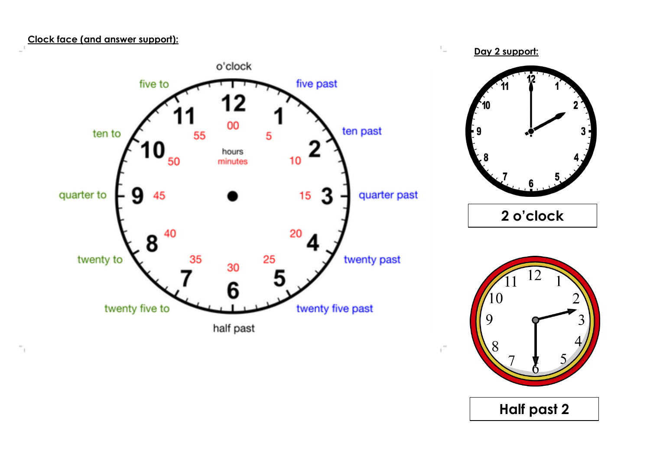**Clock face (and answer support):**

 $\overline{\phantom{a}}_1$ 





 $\mathbb{L}_-$ 

 $\mathbf{r}^{\pm}$ 

**Half past 2**